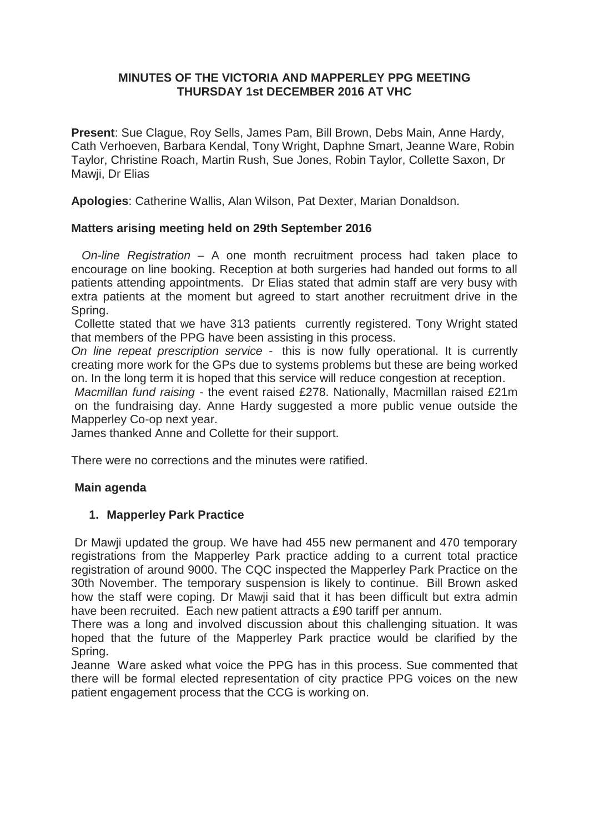## **MINUTES OF THE VICTORIA AND MAPPERLEY PPG MEETING THURSDAY 1st DECEMBER 2016 AT VHC**

**Present**: Sue Clague, Roy Sells, James Pam, Bill Brown, Debs Main, Anne Hardy, Cath Verhoeven, Barbara Kendal, Tony Wright, Daphne Smart, Jeanne Ware, Robin Taylor, Christine Roach, Martin Rush, Sue Jones, Robin Taylor, Collette Saxon, Dr Mawji, Dr Elias

**Apologies**: Catherine Wallis, Alan Wilson, Pat Dexter, Marian Donaldson.

# **Matters arising meeting held on 29th September 2016**

*On-line Registration* – A one month recruitment process had taken place to encourage on line booking. Reception at both surgeries had handed out forms to all patients attending appointments. Dr Elias stated that admin staff are very busy with extra patients at the moment but agreed to start another recruitment drive in the Spring.

Collette stated that we have 313 patients currently registered. Tony Wright stated that members of the PPG have been assisting in this process.

*On line repeat prescription service* - this is now fully operational. It is currently creating more work for the GPs due to systems problems but these are being worked on. In the long term it is hoped that this service will reduce congestion at reception.

*Macmillan fund raising* - the event raised £278. Nationally, Macmillan raised £21m on the fundraising day. Anne Hardy suggested a more public venue outside the Mapperley Co-op next year.

James thanked Anne and Collette for their support.

There were no corrections and the minutes were ratified.

# **Main agenda**

# **1. Mapperley Park Practice**

Dr Mawji updated the group. We have had 455 new permanent and 470 temporary registrations from the Mapperley Park practice adding to a current total practice registration of around 9000. The CQC inspected the Mapperley Park Practice on the 30th November. The temporary suspension is likely to continue. Bill Brown asked how the staff were coping. Dr Mawji said that it has been difficult but extra admin have been recruited. Each new patient attracts a £90 tariff per annum.

There was a long and involved discussion about this challenging situation. It was hoped that the future of the Mapperley Park practice would be clarified by the Spring.

Jeanne Ware asked what voice the PPG has in this process. Sue commented that there will be formal elected representation of city practice PPG voices on the new patient engagement process that the CCG is working on.